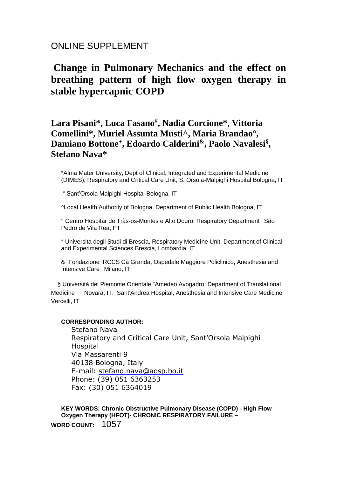# ONLINE SUPPLEMENT

# **Change in Pulmonary Mechanics and the effect on breathing pattern of high flow oxygen therapy in stable hypercapnic COPD**

# **Lara Pisani\*, Luca Fasano# , Nadia Corcione\*, Vittoria Comellini\*, Muriel Assunta Musti^, Maria Brandao°, Damiano Bottone<sup>+</sup> , Edoardo Calderini&, Paolo Navalesi§ , Stefano Nava\***

\*Alma Mater University, Dept of Clinical, Integrated and Experimental Medicine (DIMES), Respiratory and Critical Care Unit, S. Orsola-Malpighi Hospital Bologna, IT

# Sant'Orsola Malpighi Hospital Bologna, IT

^Local Health Authority of Bologna, Department of Public Health Bologna, IT

° Centro Hospitar de Tràs-os-Montes e Alto Douro, Respiratory Department São Pedro de Vila Rea, PT

<sup>+</sup> Universita degli Studi di Brescia, Respiratory Medicine Unit, Department of Clinical and Experimental Sciences Brescia, Lombardia, IT

& Fondazione IRCCS Cà Granda, Ospedale Maggiore Policlinico, Anesthesia and Intensive Care Milano, IT

 § Università del Piemonte Orientale "Amedeo Avogadro, Department of Translational Medicine Novara, IT. Sant'Andrea Hospital, Anesthesia and Intensive Care Medicine Vercelli, IT

### **CORRESPONDING AUTHOR:**

Stefano Nava Respiratory and Critical Care Unit, Sant'Orsola Malpighi Hospital Via Massarenti 9 40138 Bologna, Italy E-mail: [stefano.nava@aosp.bo.it](mailto:stefano.nava@aosp.bo.it) Phone: (39) 051 6363253 Fax: (30) 051 6364019

**KEY WORDS: Chronic Obstructive Pulmonary Disease (COPD) - High Flow Oxygen Therapy (HFOT)- CHRONIC RESPIRATORY FAILURE – WORD COUNT:** 1057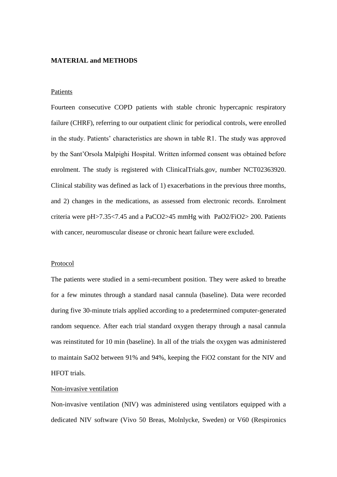# **MATERIAL and METHODS**

#### **Patients**

Fourteen consecutive COPD patients with stable chronic hypercapnic respiratory failure (CHRF), referring to our outpatient clinic for periodical controls, were enrolled in the study. Patients' characteristics are shown in table R1. The study was approved by the Sant'Orsola Malpighi Hospital. Written informed consent was obtained before enrolment. The study is registered with ClinicalTrials.gov, number NCT02363920. Clinical stability was defined as lack of 1) exacerbations in the previous three months, and 2) changes in the medications, as assessed from electronic records. Enrolment criteria were pH>7.35<7.45 and a PaCO2>45 mmHg with PaO2/FiO2> 200. Patients with cancer, neuromuscular disease or chronic heart failure were excluded.

#### Protocol

The patients were studied in a semi-recumbent position. They were asked to breathe for a few minutes through a standard nasal cannula (baseline). Data were recorded during five 30-minute trials applied according to a predetermined computer-generated random sequence. After each trial standard oxygen therapy through a nasal cannula was reinstituted for 10 min (baseline). In all of the trials the oxygen was administered to maintain SaO2 between 91% and 94%, keeping the FiO2 constant for the NIV and HFOT trials.

#### Non-invasive ventilation

Non-invasive ventilation (NIV) was administered using ventilators equipped with a dedicated NIV software (Vivo 50 Breas, Molnlycke, Sweden) or V60 (Respironics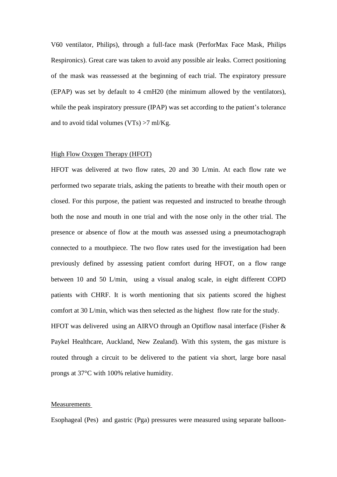V60 ventilator, Philips), through a full-face mask (PerforMax Face Mask, Philips Respironics). Great care was taken to avoid any possible air leaks. Correct positioning of the mask was reassessed at the beginning of each trial. The expiratory pressure (EPAP) was set by default to 4 cmH20 (the minimum allowed by the ventilators), while the peak inspiratory pressure (IPAP) was set according to the patient's tolerance and to avoid tidal volumes (VTs) >7 ml/Kg.

### High Flow Oxygen Therapy (HFOT)

HFOT was delivered at two flow rates, 20 and 30 L/min. At each flow rate we performed two separate trials, asking the patients to breathe with their mouth open or closed. For this purpose, the patient was requested and instructed to breathe through both the nose and mouth in one trial and with the nose only in the other trial. The presence or absence of flow at the mouth was assessed using a pneumotachograph connected to a mouthpiece. The two flow rates used for the investigation had been previously defined by assessing patient comfort during HFOT, on a flow range between 10 and 50 L/min, using a visual analog scale, in eight different COPD patients with CHRF. It is worth mentioning that six patients scored the highest comfort at 30 L/min, which was then selected as the highest flow rate for the study. HFOT was delivered using an AIRVO through an Optiflow nasal interface (Fisher &

Paykel Healthcare, Auckland, New Zealand). With this system, the gas mixture is routed through a circuit to be delivered to the patient via short, large bore nasal prongs at 37°C with 100% relative humidity.

#### Measurements

Esophageal (Pes) and gastric (Pga) pressures were measured using separate balloon-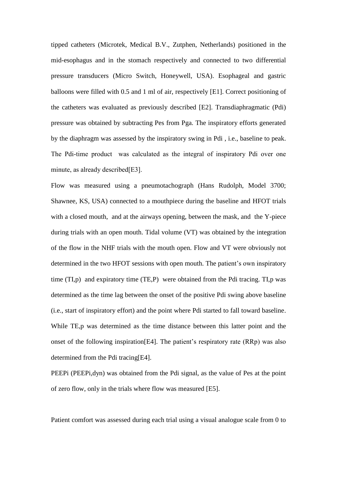tipped catheters (Microtek, Medical B.V., Zutphen, Netherlands) positioned in the mid-esophagus and in the stomach respectively and connected to two differential pressure transducers (Micro Switch, Honeywell, USA). Esophageal and gastric balloons were filled with 0.5 and 1 ml of air, respectively [E1]. Correct positioning of the catheters was evaluated as previously described [E2]. Transdiaphragmatic (Pdi) pressure was obtained by subtracting Pes from Pga. The inspiratory efforts generated by the diaphragm was assessed by the inspiratory swing in Pdi , i.e., baseline to peak. The Pdi-time product was calculated as the integral of inspiratory Pdi over one minute, as already described[E3].

Flow was measured using a pneumotachograph (Hans Rudolph, Model 3700; Shawnee, KS, USA) connected to a mouthpiece during the baseline and HFOT trials with a closed mouth, and at the airways opening, between the mask, and the Y-piece during trials with an open mouth. Tidal volume (VT) was obtained by the integration of the flow in the NHF trials with the mouth open. Flow and VT were obviously not determined in the two HFOT sessions with open mouth. The patient's own inspiratory time (TI,p) and expiratory time (TE,P) were obtained from the Pdi tracing. TI,p was determined as the time lag between the onset of the positive Pdi swing above baseline (i.e., start of inspiratory effort) and the point where Pdi started to fall toward baseline. While TE,p was determined as the time distance between this latter point and the onset of the following inspiration[E4]. The patient's respiratory rate (RRp) was also determined from the Pdi tracing[E4].

PEEPi (PEEPi,dyn) was obtained from the Pdi signal, as the value of Pes at the point of zero flow, only in the trials where flow was measured [E5].

Patient comfort was assessed during each trial using a visual analogue scale from 0 to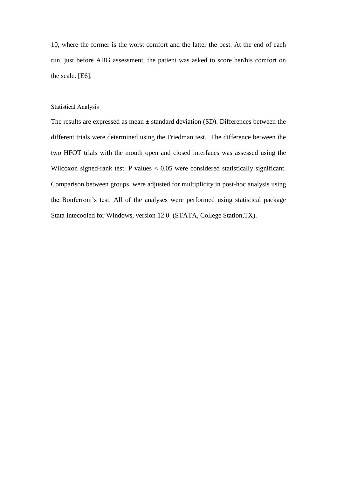10, where the former is the worst comfort and the latter the best. At the end of each run, just before ABG assessment, the patient was asked to score her/his comfort on the scale. [E6].

#### **Statistical Analysis**

The results are expressed as mean  $\pm$  standard deviation (SD). Differences between the different trials were determined using the Friedman test. The difference between the two HFOT trials with the mouth open and closed interfaces was assessed using the Wilcoxon signed-rank test. P values < 0.05 were considered statistically significant. Comparison between groups, were adjusted for multiplicity in post-hoc analysis using the Bonferroni's test. All of the analyses were performed using statistical package Stata Intecooled for Windows, version 12.0 (STATA, College Station,TX).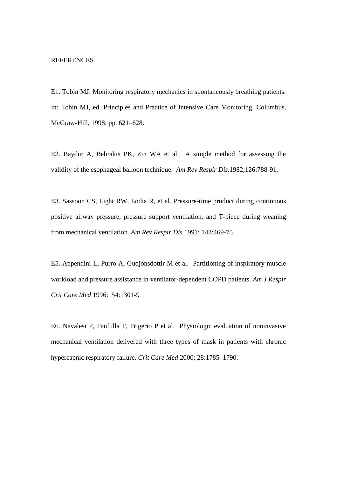# REFERENCES

E1. Tobin MJ. Monitoring respiratory mechanics in spontaneously breathing patients. In: Tobin MJ, ed. Principles and Practice of Intensive Care Monitoring. Columbus, McGraw-Hill, 1998; pp. 621–628.

E2. Baydur A, Behrakis PK, Zin WA et al. A simple method for assessing the validity of the esophageal balloon technique. *Am Rev Respir Dis*.1982;126:788-91.

E3. Sassoon CS, Light RW, Lodia R, et al. Pressure-time product during continuous positive airway pressure, pressure support ventilation, and T-piece during weaning from mechanical ventilation. *Am Rev Respir Dis* 1991; 143:469-75.

E5. Appendini L, Purro A, Gudjonsdottir M et al. Partitioning of inspiratory muscle workload and pressure assistance in ventilator-dependent COPD patients. *Am J Respir Crit Care Med* 1996;154:1301-9

E6. Navalesi P, Fanfulla F, Frigerio P et al. Physiologic evaluation of noninvasive mechanical ventilation delivered with three types of mask in patients with chronic hypercapnic respiratory failure. *Crit Care Med* 2000; 28:1785–1790.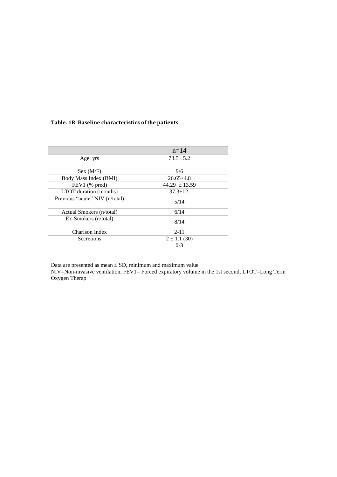# **Table. 1R Baseline characteristics of the patients**

|                                | $n=14$            |
|--------------------------------|-------------------|
| Age, yrs                       | $73.5 \pm 5.2$    |
| Sex (M/F)                      | 9/6               |
| Body Mass Index (BMI)          | $26.65 + 4.8$     |
| $FEV1$ (% pred)                | $44.29 \pm 13.59$ |
| LTOT duration (months)         | $37.3 \pm 12.$    |
| Previous "acute" NIV (n/total) | 5/14              |
| Actual Smokers (n/total)       | 6/14              |
| Ex-Smokers (n/total)           | 8/14              |
| Charlson Index                 | $2 - 11$          |
| Secretions                     | $2 \pm 1.1$ (30)  |
|                                | $0 - 3$           |

Data are presented as mean  $\pm$  SD, minimum and maximum value NIV=Non-invasive ventilation, FEV1= Forced expiratory volume in the 1st second, LTOT=Long Term Oxygen Therap